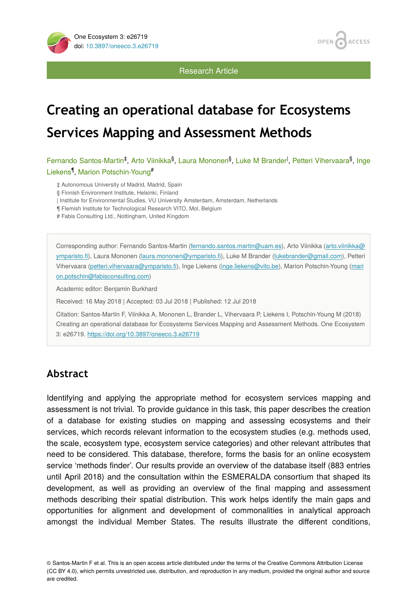

**ACCESS OPEN** 

Research Article

# **Creating an operational database for Ecosystems Services Mapping and Assessment Methods**

Fernando Santos-Martin<sup>‡</sup>, Arto Viinikka<sup>§</sup>, Laura Mononen<sup>§</sup>, Luke M Brander<sup>I</sup>, Petteri Vihervaara<sup>§</sup>, Inge Liekens<sup>¶</sup>, Marion Potschin-Young<sup>#</sup>

‡ Autonomous University of Madrid, Madrid, Spain

§ Finnish Environment Institute, Helsinki, Finland

| Institute for Environmental Studies, VU University Amsterdam, Amsterdam, Netherlands

¶ Flemish Institute for Technological Research VITO, Mol, Belgium

# Fabis Consulting Ltd., Nottingham, United Kingdom

Corresponding author: Fernando Santos-Martin ([fernando.santos.martin@uam.es\)](mailto:fernando.santos.martin@uam.es), Arto Viinikka [\(arto.viinikka@](mailto:arto.viinikka@ymparisto.fi) [ymparisto.](mailto:arto.viinikka@ymparisto.fi)fi), Laura Mononen [\(laura.mononen@ymparisto.](mailto:laura.mononen@ymparisto.fi)fi), Luke M Brander ([lukebrander@gmail.com](mailto:lukebrander@gmail.com)), Petteri Vihervaara [\(petteri.vihervaara@ymparisto.](mailto:petteri.vihervaara@ymparisto.fi)fi), Inge Liekens ([inge.liekens@vito.be](mailto:inge.liekens@vito.be)), Marion Potschin-Young ([mari](mailto:marion.potschin@fabisconsulting.com) [on.potschin@fabisconsulting.com](mailto:marion.potschin@fabisconsulting.com))

Academic editor: Benjamin Burkhard

Received: 16 May 2018 | Accepted: 03 Jul 2018 | Published: 12 Jul 2018

Citation: Santos-Martin F, Viinikka A, Mononen L, Brander L, Vihervaara P, Liekens I, Potschin-Young M (2018) Creating an operational database for Ecosystems Services Mapping and Assessment Methods. One Ecosystem 3: e26719. <https://doi.org/10.3897/oneeco.3.e26719>

### **Abstract**

Identifying and applying the appropriate method for ecosystem services mapping and assessment is not trivial. To provide guidance in this task, this paper describes the creation of a database for existing studies on mapping and assessing ecosystems and their services, which records relevant information to the ecosystem studies (e.g. methods used, the scale, ecosystem type, ecosystem service categories) and other relevant attributes that need to be considered. This database, therefore, forms the basis for an online ecosystem service 'methods finder'. Our results provide an overview of the database itself (883 entries until April 2018) and the consultation within the ESMERALDA consortium that shaped its development, as well as providing an overview of the final mapping and assessment methods describing their spatial distribution. This work helps identify the main gaps and opportunities for alignment and development of commonalities in analytical approach amongst the individual Member States. The results illustrate the different conditions,

© Santos-Martin F et al. This is an open access article distributed under the terms of the Creative Commons Attribution License (CC BY 4.0), which permits unrestricted use, distribution, and reproduction in any medium, provided the original author and source are credited.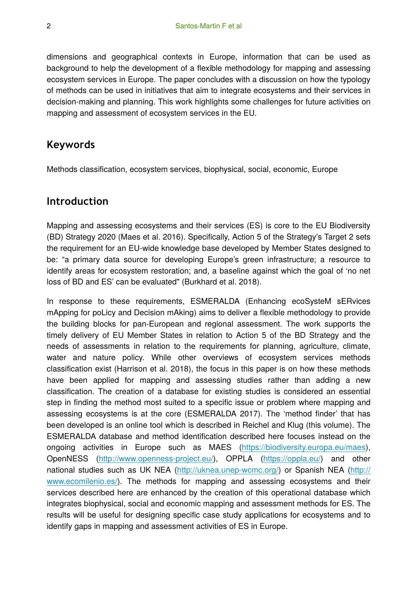dimensions and geographical contexts in Europe, information that can be used as background to help the development of a flexible methodology for mapping and assessing ecosystem services in Europe. The paper concludes with a discussion on how the typology of methods can be used in initiatives that aim to integrate ecosystems and their services in decision-making and planning. This work highlights some challenges for future activities on mapping and assessment of ecosystem services in the EU.

### **Keywords**

Methods classification, ecosystem services, biophysical, social, economic, Europe

### **Introduction**

Mapping and assessing ecosystems and their services (ES) is core to the EU Biodiversity (BD) Strategy 2020 (Maes et al. 2016). Specifically, Action 5 of the Strategy's Target 2 sets the requirement for an EU-wide knowledge base developed by Member States designed to be: "a primary data source for developing Europe's green infrastructure; a resource to identify areas for ecosystem restoration; and, a baseline against which the goal of 'no net loss of BD and ES' can be evaluated" (Burkhard et al. 2018).

In response to these requirements, ESMERALDA (Enhancing ecoSysteM sERvices mApping for poLicy and Decision mAking) aims to deliver a flexible methodology to provide the building blocks for pan-European and regional assessment. The work supports the timely delivery of EU Member States in relation to Action 5 of the BD Strategy and the needs of assessments in relation to the requirements for planning, agriculture, climate, water and nature policy. While other overviews of ecosystem services methods classification exist (Harrison et al. 2018), the focus in this paper is on how these methods have been applied for mapping and assessing studies rather than adding a new classification. The creation of a database for existing studies is considered an essential step in finding the method most suited to a specific issue or problem where mapping and assessing ecosystems is at the core (ESMERALDA 2017). The 'method finder' that has been developed is an online tool which is described in Reichel and Klug (this volume). The ESMERALDA database and method identification described here focuses instead on the ongoing activities in Europe such as MAES [\(https://biodiversity.europa.eu/maes\)](https://biodiversity.europa.eu/maes), OpenNESS ([http://www.openness-project.eu/\)](http://www.openness-project.eu/), OPPLA [\(https://oppla.eu/](https://oppla.eu/)) and other national studies such as UK NEA (<http://uknea.unep-wcmc.org/>) or Spanish NEA ([http://](http://www.ecomilenio.es/) [www.ecomilenio.es/\)](http://www.ecomilenio.es/). The methods for mapping and assessing ecosystems and their services described here are enhanced by the creation of this operational database which integrates biophysical, social and economic mapping and assessment methods for ES. The results will be useful for designing specific case study applications for ecosystems and to identify gaps in mapping and assessment activities of ES in Europe.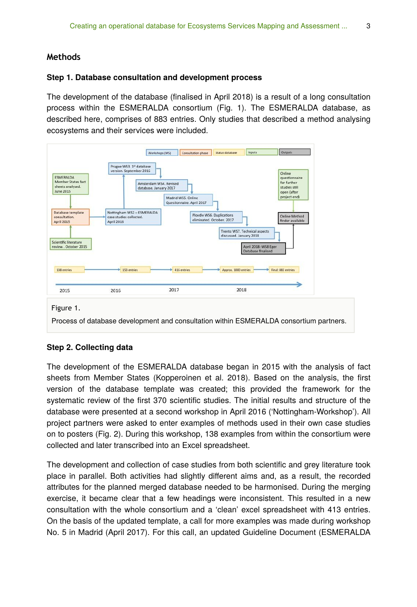#### **Methods**

#### **Step 1. Database consultation and development process**

The development of the database (finalised in April 2018) is a result of a long consultation process within the ESMERALDA consortium (Fig. 1). The ESMERALDA database, as described here, comprises of 883 entries. Only studies that described a method analysing ecosystems and their services were included.



#### **Step 2. Collecting data**

The development of the ESMERALDA database began in 2015 with the analysis of fact sheets from Member States (Kopperoinen et al. 2018). Based on the analysis, the first version of the database template was created; this provided the framework for the systematic review of the first 370 scientific studies. The initial results and structure of the database were presented at a second workshop in April 2016 ('Nottingham-Workshop'). All project partners were asked to enter examples of methods used in their own case studies on to posters (Fig. 2). During this workshop, 138 examples from within the consortium were collected and later transcribed into an Excel spreadsheet.

The development and collection of case studies from both scientific and grey literature took place in parallel. Both activities had slightly different aims and, as a result, the recorded attributes for the planned merged database needed to be harmonised. During the merging exercise, it became clear that a few headings were inconsistent. This resulted in a new consultation with the whole consortium and a 'clean' excel spreadsheet with 413 entries. On the basis of the updated template, a call for more examples was made during workshop No. 5 in Madrid (April 2017). For this call, an updated Guideline Document (ESMERALDA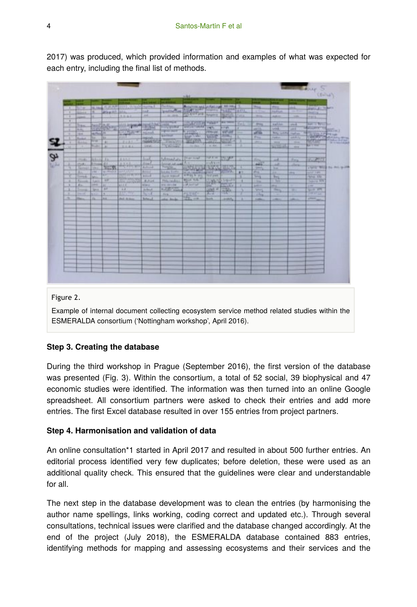| ÷<br>ĸ<br>in a<br>ltas<br>55.<br><b>Delivery (1817)</b><br><b>MONTH</b><br>386<br>to:<br><b>Ranked</b><br>vu<br><b>Sinks</b><br>--<br><b>Building</b><br>$\rightarrow$<br>170.6<br><b>SAMA</b> AL<br><b>UAL</b><br><b>Ticks</b><br>$\frac{1}{2} \left( \frac{1}{2} \right) \left( \frac{1}{2} \right) \left( \frac{1}{2} \right) \left( \frac{1}{2} \right)$<br>300<br>⊶<br><b>Terrant</b><br><b>William</b><br>Toures<br><b>Lette</b><br><b>SHOW:</b> | Mike All Mills<br><b>TOWNSON</b><br>Da.<br>٠<br>$\frac{1}{2}$<br>Tel: Minchell<br><b>TELEVIS</b><br>R | <b>TO STATE AND RESIDENTS</b><br>$1.1 - 4.1$<br><b>Hill Speed</b><br>щ<br>7.131<br>Linked<br>主なただ<br>10.1433<br><b>The Pierre</b><br><b>TITLET AT</b> | $L_{\rm max} = 1$<br>ut.<br>m<br>marrell<br>legisle<br><b>Subsidie</b><br><b>Links</b><br><b>Suit</b><br>John E.<br>Alchange<br><b>Bennett</b><br>وتنتبت | Technology<br>Spinaltype Photo<br>ALL FEE<br><b><i>ASSESSED</i></b><br>Linking.<br><b>COLORED BY</b><br>rgnizitate<br><b>WAANER</b><br><b>Reader</b><br><b>Schmadale Pierres</b><br><b>Selection and model</b><br><b>THIS COLUMN</b> | <b>Autor</b><br><b>Section</b><br><b>THE REPORT OF PUBLIC</b><br><b>SOURTHOURS</b><br><b>City real</b><br><b>Rower</b> | <b>Tart</b><br><b>CENTRAL AND I</b><br>鐾<br>$= 44$<br>757<br><b>COMMERCIAL</b> | <b>Williams</b><br><b>All Pain</b><br><b>TAN THEFT</b><br><b>STATE</b><br><b>VIRGIN</b><br><b>MOVE</b><br><b>SWEP</b><br><b>Market Advertising</b><br><b>STARTS</b><br><b>TATAL</b> | 543<br>×<br>L.              | <b>Thus</b><br><b>JETTING</b><br><b>State</b><br><b>Print</b><br>溢<br><b>Print</b><br><b>State</b><br><b>Litera</b> | <b>MALL</b><br><b>Farbur</b><br>AMIL<br><b>ATALIA</b><br>Aug 4. Corp.<br><b>Long</b><br><b>Bay with</b><br><b>Litte</b><br><b>FEE</b><br><b>SAVING A</b><br><b>AR</b> | skik.<br><b>CONTRACT</b><br>-<br>mt<br><b>SHE</b><br>讌<br>-99<br>$-40.6$<br>224 | $\frac{1}{\sqrt{1+\left(\frac{1}{2}\right)^{2}}}$<br><b>Allenta, Art Tradestor</b><br><b>DOCU</b><br><b>SHIA</b><br><b>Ford of Band</b><br><b>CONVEY</b><br><b>SCORE SHORTLES</b><br>Tart of | <b>Sec.</b>                   |
|--------------------------------------------------------------------------------------------------------------------------------------------------------------------------------------------------------------------------------------------------------------------------------------------------------------------------------------------------------------------------------------------------------------------------------------------------------|-------------------------------------------------------------------------------------------------------|-------------------------------------------------------------------------------------------------------------------------------------------------------|----------------------------------------------------------------------------------------------------------------------------------------------------------|--------------------------------------------------------------------------------------------------------------------------------------------------------------------------------------------------------------------------------------|------------------------------------------------------------------------------------------------------------------------|--------------------------------------------------------------------------------|-------------------------------------------------------------------------------------------------------------------------------------------------------------------------------------|-----------------------------|---------------------------------------------------------------------------------------------------------------------|-----------------------------------------------------------------------------------------------------------------------------------------------------------------------|---------------------------------------------------------------------------------|----------------------------------------------------------------------------------------------------------------------------------------------------------------------------------------------|-------------------------------|
|                                                                                                                                                                                                                                                                                                                                                                                                                                                        |                                                                                                       |                                                                                                                                                       |                                                                                                                                                          |                                                                                                                                                                                                                                      |                                                                                                                        |                                                                                |                                                                                                                                                                                     |                             |                                                                                                                     |                                                                                                                                                                       |                                                                                 |                                                                                                                                                                                              | <b>In the ball of the god</b> |
|                                                                                                                                                                                                                                                                                                                                                                                                                                                        |                                                                                                       |                                                                                                                                                       |                                                                                                                                                          |                                                                                                                                                                                                                                      |                                                                                                                        |                                                                                |                                                                                                                                                                                     |                             |                                                                                                                     |                                                                                                                                                                       |                                                                                 |                                                                                                                                                                                              |                               |
|                                                                                                                                                                                                                                                                                                                                                                                                                                                        |                                                                                                       |                                                                                                                                                       |                                                                                                                                                          |                                                                                                                                                                                                                                      |                                                                                                                        |                                                                                |                                                                                                                                                                                     |                             |                                                                                                                     |                                                                                                                                                                       |                                                                                 |                                                                                                                                                                                              |                               |
|                                                                                                                                                                                                                                                                                                                                                                                                                                                        |                                                                                                       |                                                                                                                                                       |                                                                                                                                                          |                                                                                                                                                                                                                                      |                                                                                                                        |                                                                                |                                                                                                                                                                                     |                             |                                                                                                                     |                                                                                                                                                                       |                                                                                 |                                                                                                                                                                                              |                               |
|                                                                                                                                                                                                                                                                                                                                                                                                                                                        |                                                                                                       |                                                                                                                                                       |                                                                                                                                                          |                                                                                                                                                                                                                                      |                                                                                                                        |                                                                                |                                                                                                                                                                                     | т                           | <b>Add</b>                                                                                                          | int.<br>he.                                                                                                                                                           | <b>Allena</b>                                                                   | TWO MILE IN MILE-PORT                                                                                                                                                                        |                               |
|                                                                                                                                                                                                                                                                                                                                                                                                                                                        |                                                                                                       | blirings<br><b><i>UNITED AND STATES</i></b>                                                                                                           | <b>SHARP</b><br>فلتعت<br><b>RAW</b>                                                                                                                      | <b>SARA Euro</b><br><b>Philadelphia</b><br><b>AND CARD RAY</b>                                                                                                                                                                       | <b>WITH THE</b><br>$2 - 7$                                                                                             | <b>ASSISTENT</b><br>$\mathbb{R}^n$                                             |                                                                                                                                                                                     | A1                          | A,<br><b>Little</b>                                                                                                 | itt.<br>$rac{1}{2}$<br>中華                                                                                                                                             | ms:                                                                             | وترويتها<br><b>POSTAGE</b><br><b>SERVICE</b>                                                                                                                                                 |                               |
| Abr.<br><br><b>Stand</b><br>Spin.<br><b>SALES</b><br>MA COL<br><b>Allegan</b>                                                                                                                                                                                                                                                                                                                                                                          | AL.<br><b>AF</b>                                                                                      | <b>MARK</b><br><b>HALL</b><br><b>COLOR</b>                                                                                                            | sign:<br><b>Thus</b><br>36.74                                                                                                                            | $227 - 10$<br>nu.                                                                                                                                                                                                                    |                                                                                                                        | $-100 - 100$<br><b>Bush</b><br><b><i>STATISTICS</i></b>                        | <b>Balling Juffer F.</b><br><b>COLE</b> NY                                                                                                                                          |                             | <b>ARTIS</b><br><b>SHARE</b><br>وبسبب<br>2550                                                                       | $\mathbb{Z}$<br><br>1747<br>--                                                                                                                                        | -<br>a.<br>−<br>                                                                | --<br><b>First</b><br>---                                                                                                                                                                    |                               |
|                                                                                                                                                                                                                                                                                                                                                                                                                                                        |                                                                                                       |                                                                                                                                                       |                                                                                                                                                          |                                                                                                                                                                                                                                      |                                                                                                                        |                                                                                |                                                                                                                                                                                     |                             |                                                                                                                     |                                                                                                                                                                       |                                                                                 |                                                                                                                                                                                              |                               |
|                                                                                                                                                                                                                                                                                                                                                                                                                                                        |                                                                                                       |                                                                                                                                                       |                                                                                                                                                          |                                                                                                                                                                                                                                      |                                                                                                                        |                                                                                |                                                                                                                                                                                     |                             |                                                                                                                     |                                                                                                                                                                       |                                                                                 |                                                                                                                                                                                              |                               |
|                                                                                                                                                                                                                                                                                                                                                                                                                                                        |                                                                                                       |                                                                                                                                                       |                                                                                                                                                          |                                                                                                                                                                                                                                      |                                                                                                                        |                                                                                |                                                                                                                                                                                     |                             |                                                                                                                     |                                                                                                                                                                       |                                                                                 |                                                                                                                                                                                              |                               |
|                                                                                                                                                                                                                                                                                                                                                                                                                                                        |                                                                                                       |                                                                                                                                                       |                                                                                                                                                          |                                                                                                                                                                                                                                      |                                                                                                                        |                                                                                |                                                                                                                                                                                     |                             |                                                                                                                     |                                                                                                                                                                       |                                                                                 |                                                                                                                                                                                              |                               |
|                                                                                                                                                                                                                                                                                                                                                                                                                                                        |                                                                                                       |                                                                                                                                                       |                                                                                                                                                          |                                                                                                                                                                                                                                      |                                                                                                                        |                                                                                |                                                                                                                                                                                     |                             |                                                                                                                     |                                                                                                                                                                       |                                                                                 |                                                                                                                                                                                              |                               |
|                                                                                                                                                                                                                                                                                                                                                                                                                                                        | $n-$                                                                                                  | ø.<br><b>Jan</b>                                                                                                                                      | <b>LIVERIES</b><br><b>JAAR BEAM</b>                                                                                                                      | <b>Boltonia</b>                                                                                                                                                                                                                      | site limbs                                                                                                             | 安兰                                                                             | both.                                                                                                                                                                               | <b>STATISTICS</b><br>Links, |                                                                                                                     | <b>AMM</b>                                                                                                                                                            | <b>CALL</b>                                                                     | ÷                                                                                                                                                                                            | 1000                          |

2017) was produced, which provided information and examples of what was expected for each entry, including the final list of methods.

#### Figure 2.

Example of internal document collecting ecosystem service method related studies within the ESMERALDA consortium ('Nottingham workshop', April 2016).

#### **Step 3. Creating the database**

During the third workshop in Prague (September 2016), the first version of the database was presented (Fig. 3). Within the consortium, a total of 52 social, 39 biophysical and 47 economic studies were identified. The information was then turned into an online Google spreadsheet. All consortium partners were asked to check their entries and add more entries. The first Excel database resulted in over 155 entries from project partners.

#### **Step 4. Harmonisation and validation of data**

An online consultation\*1 started in April 2017 and resulted in about 500 further entries. An editorial process identified very few duplicates; before deletion, these were used as an additional quality check. This ensured that the guidelines were clear and understandable for all.

The next step in the database development was to clean the entries (by harmonising the author name spellings, links working, coding correct and updated etc.). Through several consultations, technical issues were clarified and the database changed accordingly. At the end of the project (July 2018), the ESMERALDA database contained 883 entries, identifying methods for mapping and assessing ecosystems and their services and the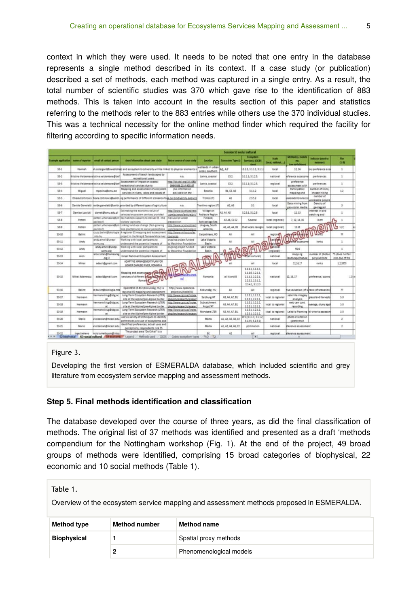context in which they were used. It needs to be noted that one entry in the database represents a single method described in its context. If a case study (or publication) described a set of methods, each method was captured in a single entry. As a result, the total number of scientific studies was 370 which gave rise to the identification of 883 methods. This is taken into account in the results section of this paper and statistics referring to the methods refer to the 883 entries while others use the 370 individual studies. This was a technical necessity for the online method finder which required the facility for filtering according to specific information needs.

|                 |                  |                                       |                                                                                                                                    |                                                      |                                      | Session \$1 social cultural |                                                               |                            |                                               |                                        |                                       |  |
|-----------------|------------------|---------------------------------------|------------------------------------------------------------------------------------------------------------------------------------|------------------------------------------------------|--------------------------------------|-----------------------------|---------------------------------------------------------------|----------------------------|-----------------------------------------------|----------------------------------------|---------------------------------------|--|
| anyis apicalas) | same of reporter | email of contact person               | short information about case study                                                                                                 | link or source of case study                         | <b>Location</b>                      | <b>Ecosystem: Type(s)</b>   | <b>Transportant</b><br>Service(s) (OCES                       | Scale<br>(local national ) | Mitted is made a<br><b>Line definitions</b> ) | indicator (used to<br>moasure)         | The<br>$(1-1)$                        |  |
| $53-1$          | <b>Harush</b>    |                                       | in ostergard@swedish@) and ecosystem biodiversity will be linked to physical elements                                              |                                                      | wetlands in urban<br>areas, southern | A1, A7                      | 125, 3111, 311                                                | local                      | 12, 16                                        | ory preference assi                    | ×                                     |  |
| 53.2            |                  | bistina Veidemandistina veidemane@bet | Assessment of beach landscapes by<br>recreational users                                                                            | 6.8.                                                 | Latvia, coastal                      | C5.2                        | 5111-5125                                                     | national                   | eference assessme                             | preferences                            | t                                     |  |
| $53-1$          |                  | bistina Veidemandistina veidemane@be  | Assessment of impact on coastal<br>recreational services due to                                                                    | http://dx.doi.org/10.1080<br>09640568 2014 903167    | Latvia, coastal                      | C1.2                        | 3333:3125                                                     | regional                   | preference<br>assessment with                 | preferences                            | ٠                                     |  |
| $53+$           | Miguel           | mpecina@emu.ee                        | Mapping and assessment of ecosystem<br>services in rivers, lakes and coasts of                                                     | Ino information<br>available on the                  | Estonia                              | 81, C2, A6                  | 3112                                                          | local                      | Participatory<br>mapping and                  | number of visits.<br>chosen hiking     | 1.2                                   |  |
| $53-5$          |                  |                                       | Chiara Cortinovis inlara continovis@unith.ing performance of different scenarios for an biodiversity and eco                       |                                                      | Trento (IT)                          | AI                          | 2352                                                          | local                      | uinerability analysi                          | number of<br>winerable people          |                                       |  |
| $53-4$          |                  |                                       | Davide Geneletti avide geneletti@unitn.provided by different types of agricultura                                                  | n.a.                                                 | Trentino region (IT)                 | A2. A3                      | 3.1                                                           | <b>focal</b>               | Data mining from<br>geo-social media          | Density of<br>geotagged                | 5                                     |  |
| $53-7$          | Damian Lowicki   | damek@amu.edu.pl                      | Estimating the economic value of<br>selected ecosystem services provided                                                           | http://www.sciencedirect<br>am/science/article/pii/  | Village on<br><b>Podlasie Region</b> | A3. A4. A5                  | 32313125                                                      | iscal                      | 12.13                                         | Interest in bird<br>aiatching and      | ×                                     |  |
| $53-8$          | Petteri          | heristo fil                           | petteri.vihenaara@ym(Key habitats capacity to deliver ES - the<br>visitors' apinions                                               | manuscript under<br>preparation                      | Finland.<br>Archipelago Sea          | A3-A6, C1-C2                | Several                                                       | local (regional)           | 7, 12, 14, 16                                 | likert                                 | ዄ                                     |  |
| 554             | Pettient         | 28 parl seq                           | petter), wherveara@ym [Linking land use change (fast-growing<br>tree plantations) to social perceptions                            | http://www.sciencedirect<br>com/science/article/pil. | Uruguay, South<br>America.           | A2, A3, A4, B1              | that locals recogn                                            | local (regional)           | 12.16                                         | e                                      | 1(7)                                  |  |
| $33 - 10$       | Balling          | mta hu                                | ctuct ballint@okologia A regional ES mapping and assessment [http://arany.milwa.ro/ec<br>project in the Niraj & Tarnava Mica river | <b>SSERVICES</b>                                     | Carpathians, RO                      | AS.                         | All                                                           | regional                   |                                               |                                        | 37                                    |  |
| 53-11           | Andy             | andy.ainell@unep-<br>iche olg         | Working with local particures to<br>understand the potential impacts of                                                            | ongoing project funded<br>by MacArthur Foundation    | Lake Victoria<br>Basin               | Alli                        | AII                                                           | <b>Bati pres</b>           | <b>fare-fire</b> assessme                     | ranks                                  | 1                                     |  |
| \$3-52          | Andy             | andy.amell@unep-<br>wcmc.org          | Working with local particents to<br>inderstand the potential impacts of                                                            | ongoing project funded<br>by MacArthur Poundation    | Lake Victoria<br><b>Basin</b>        |                             |                                                               | bations<br>(regional)      | POIS-                                         |                                        | ×                                     |  |
| \$5-13          | Alon             | alon.lotan@hamasrag<br>D/E            | Israel National Ecosystem Assessment                                                                                               |                                                      |                                      |                             | <b>Mall pulturall</b>                                         | national                   | mapping<br>andscape/nature                    | number of photos<br>per pixel/site     | 77 (does not fall)<br>into one of the |  |
| \$5.04          | Mihai            | adapti@email.com                      | ADAPTIVE MANAGEMENT PLAN FOR<br>LOWER CANLIBE RIVER, ROMANIA                                                                       |                                                      |                                      | a/i                         | all                                                           | local                      | 12 16 17                                      | ranks                                  | 1.2.2003                              |  |
| $33-15$         | Mihai Adamescu   | adacri@gmail.com                      | Mapping and assess:<br>services of different<br>Roman                                                                              | 誕                                                    | Romania                              | all A and B                 | 11111113<br>1116, 1211<br>21122221<br>2222, 2312<br>2341.3123 | national                   | [12, 16, 17]                                  | preference, scores                     | $1.3\text{m}$                         |  |
| \$3-16          | Ballint          | r ballint@okologia.mr.                | OpenNESS CS-#12 (Kiskunsag, HU); a<br>regional ES mapping and assessment                                                           | http://www.cpenness-<br>project.eu/node/45.          | <b>Kiskunste, HU</b>                 | All                         | All                                                           | regional                   | tive valuation (of serank lof scenarios)      |                                        | 33                                    |  |
| \$3-17          | <b>Hermann</b>   | hermann.klug@sbg.ac.                  | Long-Term Ecosystem Research (LTER)<br>site at the Alpine/pre-Alpine border                                                        | http://www.zgis.at/index.<br>pho/en/research/researc | Salzburg/AT                          | A3, A4, A7, B1              | 1121 1212<br>12212212                                         | local to regional          | satellite imagery<br>analysis                 | grassland harvests                     | $1 - 3$                               |  |
| \$5.58          | Hermann          | <b>M</b>                              | hermann.klug@stig.ac.   Long-Term Ecosystem Research (LTER)<br>site at the Algine/gre-Algine border                                | http://www.zgis.at/index.<br>php/en/research/researc | Subcatchment<br>Eoppl/AT             | A3, A4, A7, B1              | 11211212<br>12212212                                          | local to regional          | web cam cont.<br>recording                    | bverage, slurry appl                   | 1.3                                   |  |
| \$3-19          | Nermann          | hermann.klug@sitig.ac.                | Long-Term Ecosystem Research (LTER)<br>site at the Alpine/pre-Alpine border                                                        | http://www.tels.at/index<br>cho/en/research/researc  | Mondsee LTER                         | A3. A4. A7. B1              | 1121, 1212<br>12212212                                        | local to regional          |                                               | Leitbild Planning Iti-criteria assessm | $1 - 3$                               |  |
| 55-30           | Mario            | rio balzan@mcast.edu                  | uses a variety of techniques to identify<br>preferences and use of ecosistems and                                                  |                                                      | Maits                                | A1, A2, A4, A6, C2          | TES (3.1.1.1-3.1.1.2)<br>3.1.2.5; 3.2.5.11                    | national                   | photo-elicitation<br>(preference)             |                                        | $\overline{z}$                        |  |
| \$3-21          | Mario            | irio.balcan@mcast.edu.                | identified preferences, actual uses and<br>perceptions; respondents link ES                                                        |                                                      | Maita                                | A1, A2, A4, A6, C2          | pollination                                                   | national                   | eference assessment                           |                                        | $\overline{\mathbf{z}}$               |  |
| 53-32           | Inpe Liekens     | incis.turkelboom@inbo                 | The project area "De Cirkel" is a                                                                                                  |                                                      | ft.<br>FAQ 92                        | k2                          | $\eta_{\rm B}$                                                | regional                   | eference assessment                           |                                        |                                       |  |

#### Figure 3.

Developing the first version of ESMERALDA database, which included scientific and grey literature from ecosystem service mapping and assessment methods.

#### **Step 5. Final methods identification and classification**

The database developed over the course of three years, as did the final classification of methods. The original list of 37 methods was identified and presented as a draft 'methods compendium for the Nottingham workshop (Fig. 1). At the end of the project, 49 broad groups of methods were identified, comprising 15 broad categories of biophysical, 22 economic and 10 social methods (Table 1).

| Table 1.<br>Overview of the ecosystem service mapping and assessment methods proposed in ESMERALDA. |                      |                         |  |  |  |  |
|-----------------------------------------------------------------------------------------------------|----------------------|-------------------------|--|--|--|--|
| <b>Method type</b>                                                                                  | <b>Method number</b> | <b>Method name</b>      |  |  |  |  |
| <b>Biophysical</b>                                                                                  |                      | Spatial proxy methods   |  |  |  |  |
|                                                                                                     | 2                    | Phenomenological models |  |  |  |  |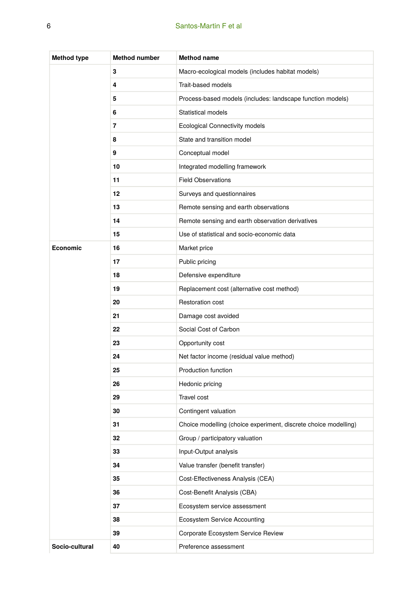#### Santos-Martin F et al

| <b>Method type</b> | <b>Method number</b> | <b>Method name</b>                                              |
|--------------------|----------------------|-----------------------------------------------------------------|
|                    | 3                    | Macro-ecological models (includes habitat models)               |
|                    | 4                    | Trait-based models                                              |
|                    | 5                    | Process-based models (includes: landscape function models)      |
|                    | 6                    | Statistical models                                              |
|                    | $\overline{7}$       | <b>Ecological Connectivity models</b>                           |
|                    | 8                    | State and transition model                                      |
|                    | 9                    | Conceptual model                                                |
|                    | 10                   | Integrated modelling framework                                  |
|                    | 11                   | <b>Field Observations</b>                                       |
|                    | 12                   | Surveys and questionnaires                                      |
|                    | 13                   | Remote sensing and earth observations                           |
|                    | 14                   | Remote sensing and earth observation derivatives                |
|                    | 15                   | Use of statistical and socio-economic data                      |
| Economic           | 16                   | Market price                                                    |
|                    | 17                   | Public pricing                                                  |
|                    | 18                   | Defensive expenditure                                           |
|                    | 19                   | Replacement cost (alternative cost method)                      |
|                    | 20                   | Restoration cost                                                |
|                    | 21                   | Damage cost avoided                                             |
|                    | 22                   | Social Cost of Carbon                                           |
|                    | 23                   | Opportunity cost                                                |
|                    | 24                   | Net factor income (residual value method)                       |
|                    | 25                   | Production function                                             |
|                    | 26                   | Hedonic pricing                                                 |
|                    | 29                   | Travel cost                                                     |
|                    | 30                   | Contingent valuation                                            |
|                    | 31                   | Choice modelling (choice experiment, discrete choice modelling) |
|                    | 32                   | Group / participatory valuation                                 |
|                    | 33                   | Input-Output analysis                                           |
|                    | 34                   | Value transfer (benefit transfer)                               |
|                    | 35                   | Cost-Effectiveness Analysis (CEA)                               |
|                    | 36                   | Cost-Benefit Analysis (CBA)                                     |
|                    | 37                   | Ecosystem service assessment                                    |
|                    | 38                   | <b>Ecosystem Service Accounting</b>                             |
|                    | 39                   | Corporate Ecosystem Service Review                              |
| Socio-cultural     | 40                   | Preference assessment                                           |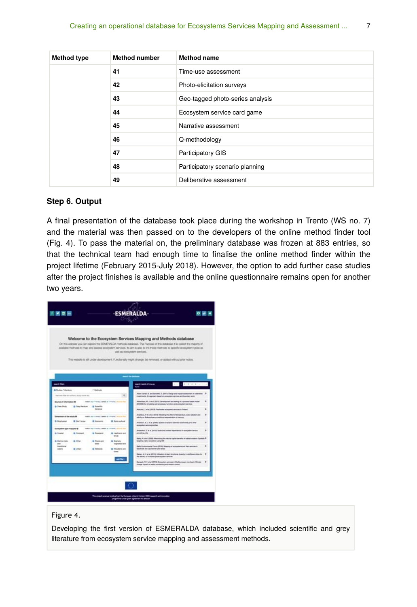| <b>Method type</b> | <b>Method number</b> | <b>Method name</b>               |
|--------------------|----------------------|----------------------------------|
|                    | 41                   | Time-use assessment              |
|                    | 42                   | Photo-elicitation surveys        |
|                    | 43                   | Geo-tagged photo-series analysis |
|                    | 44                   | Ecosystem service card game      |
|                    | 45                   | Narrative assessment             |
|                    | 46                   | Q-methodology                    |
|                    | 47                   | Participatory GIS                |
|                    | 48                   | Participatory scenario planning  |
|                    | 49                   | Deliberative assessment          |

#### **Step 6. Output**

A final presentation of the database took place during the workshop in Trento (WS no. 7) and the material was then passed on to the developers of the online method finder tool (Fig. 4). To pass the material on, the preliminary database was frozen at 883 entries, so that the technical team had enough time to finalise the online method finder within the project lifetime (February 2015-July 2018). However, the option to add further case studies after the project finishes is available and the online questionnaire remains open for another two years.

|                                                                          |                       |                                                              |                                        | Welcome to the Ecosystem Services Mapping and Methods database<br>On this website you can explore the ESMERA DA methods detablase. The Purpose of the detabase it to collect the majority of |                                 |   |
|--------------------------------------------------------------------------|-----------------------|--------------------------------------------------------------|----------------------------------------|----------------------------------------------------------------------------------------------------------------------------------------------------------------------------------------------|---------------------------------|---|
|                                                                          |                       |                                                              |                                        | avables methods to map and assess acceptern services. Its arm is also to link those methods to specific ecosystem types as<br>well as ecosystem services.                                    |                                 |   |
|                                                                          |                       |                                                              |                                        | This website is all under development. Functionally might change, be removed, or added without prior notice.                                                                                 |                                 |   |
|                                                                          |                       |                                                              |                                        |                                                                                                                                                                                              |                                 |   |
|                                                                          |                       |                                                              |                                        |                                                                                                                                                                                              |                                 |   |
|                                                                          |                       |                                                              |                                        | ni ifa mening                                                                                                                                                                                |                                 |   |
| sand floor                                                               |                       |                                                              |                                        | <b>AMERICAN STORAGE</b><br>w                                                                                                                                                                 | $2.0.8.8 - 1.0.4$<br><b>AGE</b> |   |
| <b>B Rules / Llenium</b><br>lost task film for suffers, study have all.  |                       | - Atenhania                                                  | $\alpha$                               | Asket Esmal, B. and Genaleti, D. (2011) Geogn and impact assessment of autonoties 3<br>inautrients. An approach based on economien services and insuralizy work                              |                                 |   |
| <b>Brunce of Information @</b>                                           |                       | mentions in a more cleaned at a to sale it was               | <b>COL</b>                             | Allkerheal, M. J. at al. 2011) Development and leating at a circums keeps model<br>BACKGRE-for aimulating sold processes. Americans and accountant services.                                 |                                 | s |
| <b>&amp; Case Bludy</b>                                                  | <b>B</b> Grey Dunskew | <b>B</b> Scientific<br><b>Viennium</b>                       |                                        | Alahutha, J. al al. (8915). Theatlander accountant aproximate in Tokanal                                                                                                                     |                                 | × |
| Direction of the study B.                                                |                       | maker any 11 diety (seed) at 11 horse 2 series that          |                                        | American, P.M. et al. 2013). Massing the effect of temperature, side includer and<br>salinity on Bellosevinsenus markinga sansanimation of topoury                                           |                                 | s |
| <b>G</b> Brahama                                                         | <b>B</b> Gert lanes   | <b>G.</b> Economist                                          | <b>B</b> Dollar suitant                | Anderson, B. J. et al. 2000; Roadial conscious battager (colorado and situa-<br>ecreative service printing                                                                                   |                                 | × |
| <b>Economist type massed &amp;</b>                                       |                       | makers who of 4 starts created ad 1-5 heres 2 sections their |                                        | Alebanace, E. et al. (2015). State and northern expectations of accountant service.                                                                                                          |                                 | × |
| <b>d</b> Counted                                                         | <b>B</b> Organized    | <b>B</b> Greenwich                                           | <b>12 Heathland and</b><br><b>MAGE</b> | presiding units<br>Bahay, N. at al. 2000). Maximizing the natural uspital benefits of halifat coaston. Spekely P.                                                                            |                                 |   |
| <b>&amp; Vienna Jose</b><br><b>AND</b><br><b><i><u>Sprachuse</u></i></b> | ib Ohio               | <b>B. Rivers and</b><br><b>SHAA</b>                          | <b>B</b> Spanish<br><b>INGINEERING</b> | largeting native ensultent using DSI<br>Balls Environmental Forum (2014). Mapping of excess their and their services in                                                                      |                                 | ٠ |
| mines                                                                    | <b>B</b> GRAN         | <b>5 Veheres</b>                                             | <b>B</b> Rhoderal and<br><b>board</b>  | Dealersh and Jauneener plut areas                                                                                                                                                            |                                 |   |
|                                                                          |                       |                                                              |                                        | Baltim, M. Y. et al. (2016) Ultimates of start functional shapes in setationer stress for  3<br>the definity of thullabe appointmenters services                                             |                                 |   |
|                                                                          |                       |                                                              | ant fine -                             | Bargadi, R. F. et al. 2019; Screenfort antiques in Madlemarket from basic Chinese<br>sharps insect on water provincing and enable content                                                    |                                 | ٠ |
|                                                                          |                       |                                                              |                                        |                                                                                                                                                                                              |                                 |   |

#### Figure 4.

Developing the first version of ESMERALDA database, which included scientific and grey literature from ecosystem service mapping and assessment methods.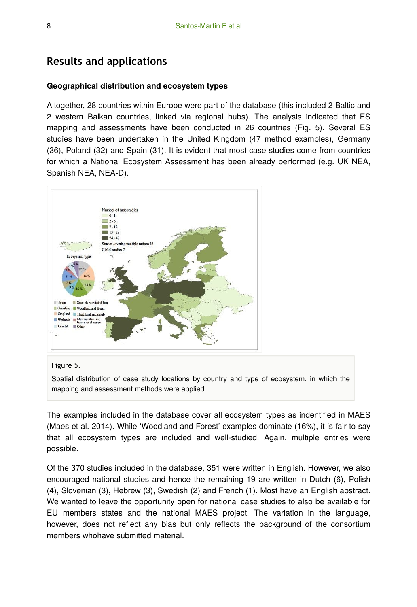### **Results and applications**

#### **Geographical distribution and ecosystem types**

Altogether, 28 countries within Europe were part of the database (this included 2 Baltic and 2 western Balkan countries, linked via regional hubs). The analysis indicated that ES mapping and assessments have been conducted in 26 countries (Fig. 5). Several ES studies have been undertaken in the United Kingdom (47 method examples), Germany (36), Poland (32) and Spain (31). It is evident that most case studies come from countries for which a National Ecosystem Assessment has been already performed (e.g. UK NEA, Spanish NEA, NEA-D).



#### Figure 5.

Spatial distribution of case study locations by country and type of ecosystem, in which the mapping and assessment methods were applied.

The examples included in the database cover all ecosystem types as indentified in MAES (Maes et al. 2014). While 'Woodland and Forest' examples dominate (16%), it is fair to say that all ecosystem types are included and well-studied. Again, multiple entries were possible.

Of the 370 studies included in the database, 351 were written in English. However, we also encouraged national studies and hence the remaining 19 are written in Dutch (6), Polish (4), Slovenian (3), Hebrew (3), Swedish (2) and French (1). Most have an English abstract. We wanted to leave the opportunity open for national case studies to also be available for EU members states and the national MAES project. The variation in the language, however, does not reflect any bias but only reflects the background of the consortium members whohave submitted material.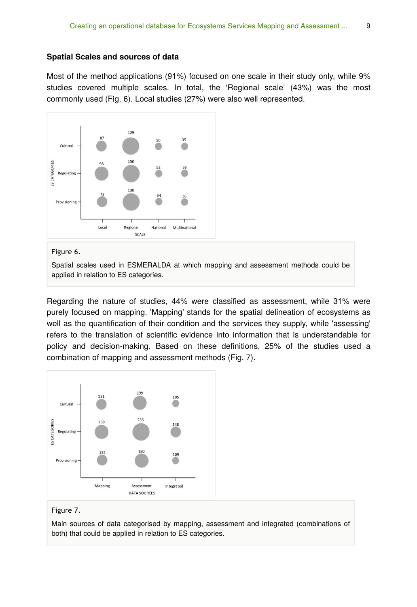#### **Spatial Scales and sources of data**

Most of the method applications (91%) focused on one scale in their study only, while 9% studies covered multiple scales. In total, the 'Regional scale' (43%) was the most commonly used (Fig. 6). Local studies (27%) were also well represented.



Figure 6.

Spatial scales used in ESMERALDA at which mapping and assessment methods could be applied in relation to ES categories.

Regarding the nature of studies, 44% were classified as assessment, while 31% were purely focused on mapping. 'Mapping' stands for the spatial delineation of ecosystems as well as the quantification of their condition and the services they supply, while 'assessing' refers to the translation of scientific evidence into information that is understandable for policy and decision-making. Based on these definitions, 25% of the studies used a combination of mapping and assessment methods (Fig. 7).



#### Figure 7.

Main sources of data categorised by mapping, assessment and integrated (combinations of both) that could be applied in relation to ES categories.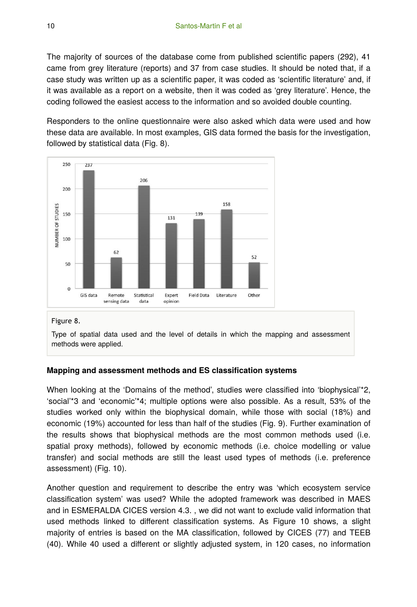The majority of sources of the database come from published scientific papers (292), 41 came from grey literature (reports) and 37 from case studies. It should be noted that, if a case study was written up as a scientific paper, it was coded as 'scientific literature' and, if it was available as a report on a website, then it was coded as 'grey literature'. Hence, the coding followed the easiest access to the information and so avoided double counting.

Responders to the online questionnaire were also asked which data were used and how these data are available. In most examples, GIS data formed the basis for the investigation, followed by statistical data (Fig. 8).



#### Figure 8.

Type of spatial data used and the level of details in which the mapping and assessment methods were applied.

#### **Mapping and assessment methods and ES classification systems**

When looking at the 'Domains of the method', studies were classified into 'biophysical'\*2, 'social'\*3 and 'economic'\*4; multiple options were also possible. As a result, 53% of the studies worked only within the biophysical domain, while those with social (18%) and economic (19%) accounted for less than half of the studies (Fig. 9). Further examination of the results shows that biophysical methods are the most common methods used (i.e. spatial proxy methods), followed by economic methods (i.e. choice modelling or value transfer) and social methods are still the least used types of methods (i.e. preference assessment) (Fig. 10).

Another question and requirement to describe the entry was 'which ecosystem service classification system' was used? While the adopted framework was described in MAES and in ESMERALDA CICES version 4.3. , we did not want to exclude valid information that used methods linked to different classification systems. As Figure 10 shows, a slight majority of entries is based on the MA classification, followed by CICES (77) and TEEB (40). While 40 used a different or slightly adjusted system, in 120 cases, no information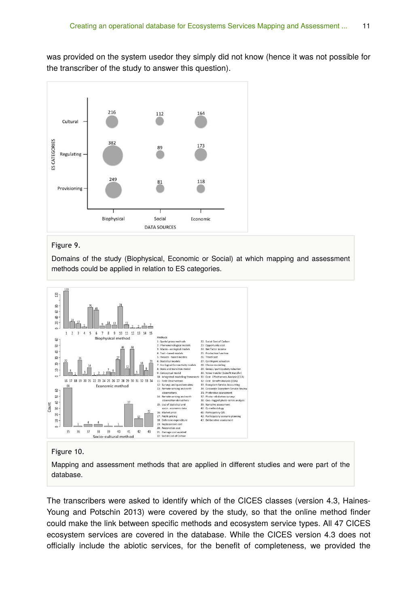was provided on the system usedor they simply did not know (hence it was not possible for the transcriber of the study to answer this question).



#### Figure 9.

Domains of the study (Biophysical, Economic or Social) at which mapping and assessment methods could be applied in relation to ES categories.



#### Figure 10.

Mapping and assessment methods that are applied in different studies and were part of the database.

The transcribers were asked to identify which of the CICES classes (version 4.3, Haines-Young and Potschin 2013) were covered by the study, so that the online method finder could make the link between specific methods and ecosystem service types. All 47 CICES ecosystem services are covered in the database. While the CICES version 4.3 does not officially include the abiotic services, for the benefit of completeness, we provided the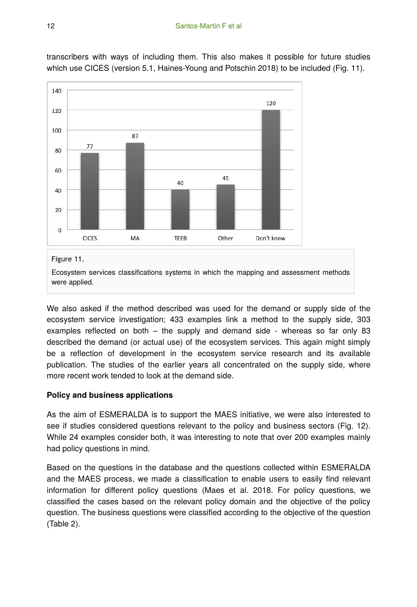

transcribers with ways of including them. This also makes it possible for future studies which use CICES (version 5.1, Haines-Young and Potschin 2018) to be included (Fig. 11).

#### Figure 11.

Ecosystem services classifications systems in which the mapping and assessment methods were applied.

We also asked if the method described was used for the demand or supply side of the ecosystem service investigation; 433 examples link a method to the supply side, 303 examples reflected on both – the supply and demand side - whereas so far only 83 described the demand (or actual use) of the ecosystem services. This again might simply be a reflection of development in the ecosystem service research and its available publication. The studies of the earlier years all concentrated on the supply side, where more recent work tended to look at the demand side.

#### **Policy and business applications**

As the aim of ESMERALDA is to support the MAES initiative, we were also interested to see if studies considered questions relevant to the policy and business sectors (Fig. 12). While 24 examples consider both, it was interesting to note that over 200 examples mainly had policy questions in mind.

Based on the questions in the database and the questions collected within ESMERALDA and the MAES process, we made a classification to enable users to easily find relevant information for different policy questions (Maes et al. 2018. For policy questions, we classified the cases based on the relevant policy domain and the objective of the policy question. The business questions were classified according to the objective of the question (Table 2).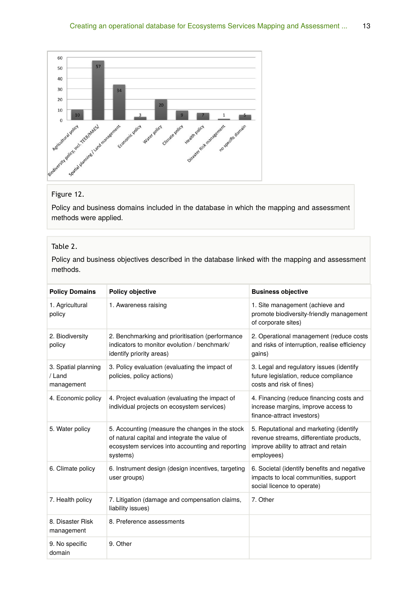

#### Figure 12.

Policy and business domains included in the database in which the mapping and assessment methods were applied.

#### Table 2.

Policy and business objectives described in the database linked with the mapping and assessment methods.

| <b>Policy Domains</b>                       | <b>Policy objective</b>                                                                                                                                          | <b>Business objective</b>                                                                                                                  |
|---------------------------------------------|------------------------------------------------------------------------------------------------------------------------------------------------------------------|--------------------------------------------------------------------------------------------------------------------------------------------|
| 1. Agricultural<br>policy                   | 1. Awareness raising                                                                                                                                             | 1. Site management (achieve and<br>promote biodiversity-friendly management<br>of corporate sites)                                         |
| 2. Biodiversity<br>policy                   | 2. Benchmarking and prioritisation (performance<br>indicators to monitor evolution / benchmark/<br>identify priority areas)                                      | 2. Operational management (reduce costs<br>and risks of interruption, realise efficiency<br>gains)                                         |
| 3. Spatial planning<br>/ Land<br>management | 3. Policy evaluation (evaluating the impact of<br>policies, policy actions)                                                                                      | 3. Legal and regulatory issues (identify<br>future legislation, reduce compliance<br>costs and risk of fines)                              |
| 4. Economic policy                          | 4. Project evaluation (evaluating the impact of<br>individual projects on ecosystem services)                                                                    | 4. Financing (reduce financing costs and<br>increase margins, improve access to<br>finance-attract investors)                              |
| 5. Water policy                             | 5. Accounting (measure the changes in the stock<br>of natural capital and integrate the value of<br>ecosystem services into accounting and reporting<br>systems) | 5. Reputational and marketing (identify<br>revenue streams, differentiate products,<br>improve ability to attract and retain<br>employees) |
| 6. Climate policy                           | 6. Instrument design (design incentives, targeting<br>user groups)                                                                                               | 6. Societal (identify benefits and negative<br>impacts to local communities, support<br>social licence to operate)                         |
| 7. Health policy                            | 7. Litigation (damage and compensation claims,<br>liability issues)                                                                                              | 7. Other                                                                                                                                   |
| 8. Disaster Risk<br>management              | 8. Preference assessments                                                                                                                                        |                                                                                                                                            |
| 9. No specific<br>domain                    | 9 Other                                                                                                                                                          |                                                                                                                                            |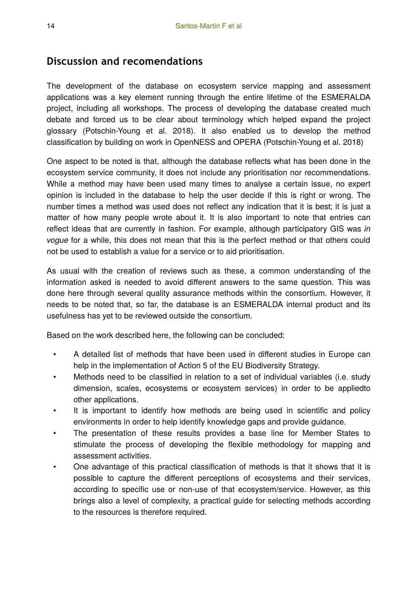### **Discussion and recomendations**

The development of the database on ecosystem service mapping and assessment applications was a key element running through the entire lifetime of the ESMERALDA project, including all workshops. The process of developing the database created much debate and forced us to be clear about terminology which helped expand the project glossary (Potschin-Young et al. 2018). It also enabled us to develop the method classification by building on work in OpenNESS and OPERA (Potschin-Young et al. 2018)

One aspect to be noted is that, although the database reflects what has been done in the ecosystem service community, it does not include any prioritisation nor recommendations. While a method may have been used many times to analyse a certain issue, no expert opinion is included in the database to help the user decide if this is right or wrong. The number times a method was used does not reflect any indication that it is best; it is just a matter of how many people wrote about it. It is also important to note that entries can reflect ideas that are currently in fashion. For example, although participatory GIS was *in vogue* for a while, this does not mean that this is the perfect method or that others could not be used to establish a value for a service or to aid prioritisation.

As usual with the creation of reviews such as these, a common understanding of the information asked is needed to avoid different answers to the same question. This was done here through several quality assurance methods within the consortium. However, it needs to be noted that, so far, the database is an ESMERALDA internal product and its usefulness has yet to be reviewed outside the consortium.

Based on the work described here, the following can be concluded:

- A detailed list of methods that have been used in different studies in Europe can help in the implementation of Action 5 of the EU Biodiversity Strategy.
- Methods need to be classified in relation to a set of individual variables (i.e. study dimension, scales, ecosystems or ecosystem services) in order to be appliedto other applications.
- It is important to identify how methods are being used in scientific and policy environments in order to help identify knowledge gaps and provide guidance.
- The presentation of these results provides a base line for Member States to stimulate the process of developing the flexible methodology for mapping and assessment activities.
- One advantage of this practical classification of methods is that it shows that it is possible to capture the different perceptions of ecosystems and their services, according to specific use or non-use of that ecosystem/service. However, as this brings also a level of complexity, a practical guide for selecting methods according to the resources is therefore required.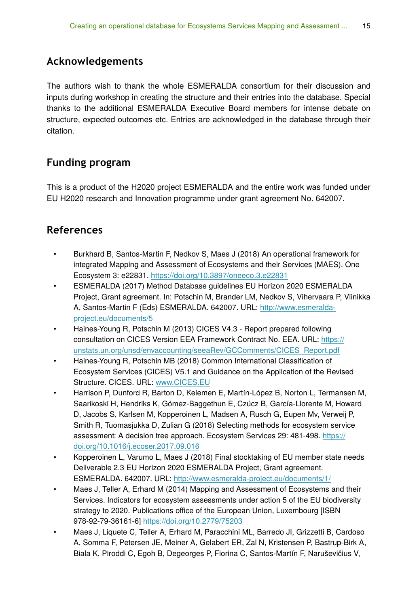### **Acknowledgements**

The authors wish to thank the whole ESMERALDA consortium for their discussion and inputs during workshop in creating the structure and their entries into the database. Special thanks to the additional ESMERALDA Executive Board members for intense debate on structure, expected outcomes etc. Entries are acknowledged in the database through their citation.

## **Funding program**

This is a product of the H2020 project ESMERALDA and the entire work was funded under EU H2020 research and Innovation programme under grant agreement No. 642007.

### **References**

- Burkhard B, Santos-Martin F, Nedkov S, Maes J (2018) An operational framework for integrated Mapping and Assessment of Ecosystems and their Services (MAES). One Ecosystem 3: e22831.<https://doi.org/10.3897/oneeco.3.e22831>
- ESMERALDA (2017) Method Database guidelines EU Horizon 2020 ESMERALDA Project, Grant agreement. In: Potschin M, Brander LM, Nedkov S, Vihervaara P, Viinikka A, Santos-Martin F (Eds) ESMERALDA. 642007. URL: [http://www.esmeralda](http://www.esmeralda-project.eu/documents/5)[project.eu/documents/5](http://www.esmeralda-project.eu/documents/5)
- Haines-Young R, Potschin M (2013) CICES V4.3 Report prepared following consultation on CICES Version EEA Framework Contract No. EEA. URL: [https://](https://unstats.un.org/unsd/envaccounting/seeaRev/GCComments/CICES_Report.pdf) [unstats.un.org/unsd/envaccounting/seeaRev/GCComments/CICES\\_Report.pdf](https://unstats.un.org/unsd/envaccounting/seeaRev/GCComments/CICES_Report.pdf)
- Haines-Young R, Potschin MB (2018) Common International Classification of Ecosystem Services (CICES) V5.1 and Guidance on the Application of the Revised Structure. CICES. URL: [www.CICES.EU](http://www.CICES.EU)
- Harrison P, Dunford R, Barton D, Kelemen E, Martín-López B, Norton L, Termansen M, Saarikoski H, Hendriks K, Gómez-Baggethun E, Czúcz B, García-Llorente M, Howard D, Jacobs S, Karlsen M, Kopperoinen L, Madsen A, Rusch G, Eupen Mv, Verweij P, Smith R, Tuomasjukka D, Zulian G (2018) Selecting methods for ecosystem service assessment: A decision tree approach. Ecosystem Services 29: 481‑498. [https://](https://doi.org/10.1016/j.ecoser.2017.09.016) [doi.org/10.1016/j.ecoser.2017.09.016](https://doi.org/10.1016/j.ecoser.2017.09.016)
- Kopperoinen L, Varumo L, Maes J (2018) Final stocktaking of EU member state needs Deliverable 2.3 EU Horizon 2020 ESMERALDA Project, Grant agreement. ESMERALDA. 642007. URL: <http://www.esmeralda-project.eu/documents/1/>
- Maes J, Teller A, Erhard M (2014) Mapping and Assessment of Ecosystems and their Services. Indicators for ecosystem assessments under action 5 of the EU biodiversity strategy to 2020. Publications office of the European Union, Luxembourg [ISBN 978-92-79-36161-6[\] https://doi.org/10.2779/75203](https://doi.org/10.2779/75203)
- Maes J, Liquete C, Teller A, Erhard M, Paracchini ML, Barredo JI, Grizzetti B, Cardoso A, Somma F, Petersen JE, Meiner A, Gelabert ER, Zal N, Kristensen P, Bastrup-Birk A, Biala K, Piroddi C, Egoh B, Degeorges P, Fiorina C, Santos-Martín F, Naruševičius V,